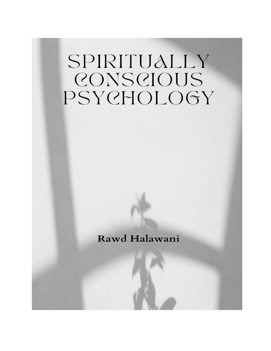# SPIRITUALLY CONSCIOUS PSYCHOLOGY

Rawd Halawani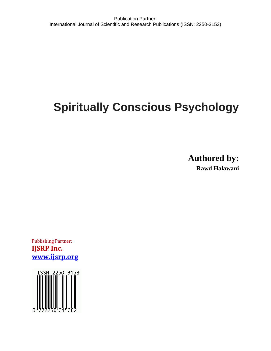# **Spiritually Conscious Psychology**

**Authored by: Rawd Halawani**

Publishing Partner: **IJSRP Inc. [www.ijsrp.org](http://www.ijsrp.org/)**

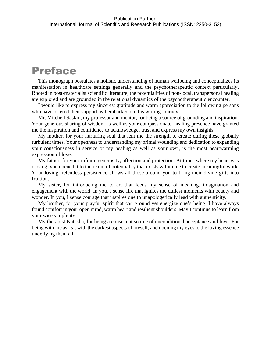# Preface

This monograph postulates a holistic understanding of human wellbeing and conceptualizes its manifestation in healthcare settings generally and the psychotherapeutic context particularly. Rooted in post-materialist scientific literature, the potentialities of non-local, transpersonal healing are explored and are grounded in the relational dynamics of the psychotherapeutic encounter.

I would like to express my sincerest gratitude and warm appreciation to the following persons who have offered their support as I embarked on this writing journey:

Mr. Mitchell Saskin, my professor and mentor, for being a source of grounding and inspiration. Your generous sharing of wisdom as well as your compassionate, healing presence have granted me the inspiration and confidence to acknowledge, trust and express my own insights.

My mother, for your nurturing soul that lent me the strength to create during these globally turbulent times. Your openness to understanding my primal wounding and dedication to expanding your consciousness in service of my healing as well as your own, is the most heartwarming expression of love.

My father, for your infinite generosity, affection and protection. At times where my heart was closing, you opened it to the realm of potentiality that exists within me to create meaningful work. Your loving, relentless persistence allows all those around you to bring their divine gifts into fruition.

My sister, for introducing me to art that feeds my sense of meaning, imagination and engagement with the world. In you, I sense fire that ignites the dullest moments with beauty and wonder. In you, I sense courage that inspires one to unapologetically lead with authenticity.

My brother, for your playful spirit that can ground yet energize one's being. I have always found comfort in your open mind, warm heart and resilient shoulders. May I continue to learn from your wise simplicity.

My therapist Natasha, for being a consistent source of unconditional acceptance and love. For being with me as I sit with the darkest aspects of myself, and opening my eyes to the loving essence underlying them all.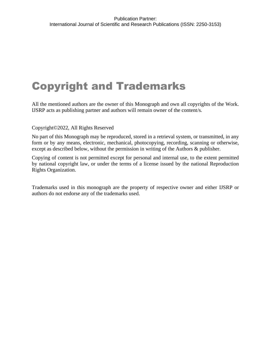# Copyright and Trademarks

All the mentioned authors are the owner of this Monograph and own all copyrights of the Work. IJSRP acts as publishing partner and authors will remain owner of the content/s.

# Copyright©2022, All Rights Reserved

No part of this Monograph may be reproduced, stored in a retrieval system, or transmitted, in any form or by any means, electronic, mechanical, photocopying, recording, scanning or otherwise, except as described below, without the permission in writing of the Authors & publisher.

Copying of content is not permitted except for personal and internal use, to the extent permitted by national copyright law, or under the terms of a license issued by the national Reproduction Rights Organization.

Trademarks used in this monograph are the property of respective owner and either IJSRP or authors do not endorse any of the trademarks used.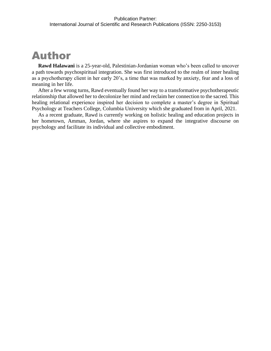# Author

**Rawd Halawani** is a 25-year-old, Palestinian-Jordanian woman who's been called to uncover a path towards psychospiritual integration. She was first introduced to the realm of inner healing as a psychotherapy client in her early 20's, a time that was marked by anxiety, fear and a loss of meaning in her life.

After a few wrong turns, Rawd eventually found her way to a transformative psychotherapeutic relationship that allowed her to decolonize her mind and reclaim her connection to the sacred. This healing relational experience inspired her decision to complete a master's degree in Spiritual Psychology at Teachers College, Columbia University which she graduated from in April, 2021.

As a recent graduate, Rawd is currently working on holistic healing and education projects in her hometown, Amman, Jordan, where she aspires to expand the integrative discourse on psychology and facilitate its individual and collective embodiment.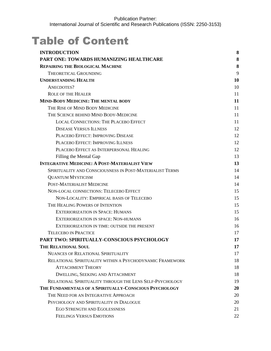# Table of Content

| <b>INTRODUCTION</b>                                      | 8  |
|----------------------------------------------------------|----|
| PART ONE: TOWARDS HUMANIZING HEALTHCARE                  | 8  |
| <b>REPAIRING THE BIOLOGICAL MACHINE</b>                  | 8  |
| THEORETICAL GROUNDING                                    | 9  |
| <b>UNDERSTANDING HEALTH</b>                              | 10 |
| ANECDOTES?                                               | 10 |
| <b>ROLE OF THE HEALER</b>                                | 11 |
| <b>MIND-BODY MEDICINE: THE MENTAL BODY</b>               | 11 |
| THE RISE OF MIND BODY MEDICINE                           | 11 |
| THE SCIENCE BEHIND MIND BODY-MEDICINE                    | 11 |
| <b>LOCAL CONNECTIONS: THE PLACEBO EFFECT</b>             | 11 |
| <b>DISEASE VERSUS ILLNESS</b>                            | 12 |
| PLACEBO EFFECT: IMPROVING DISEASE                        | 12 |
| PLACEBO EFFECT: IMPROVING ILLNESS                        | 12 |
| PLACEBO EFFECT AS INTERPERSONAL HEALING                  | 12 |
| Filling the Mental Gap                                   | 13 |
| <b>INTEGRATIVE MEDICINE: A POST-MATERIALIST VIEW</b>     | 13 |
| SPIRITUALITY AND CONSCIOUSNESS IN POST-MATERIALIST TERMS | 14 |
| <b>QUANTUM MYSTICISM</b>                                 | 14 |
| POST-MATERIALIST MEDICINE                                | 14 |
| NON-LOCAL CONNECTIONS: TELECEBO EFFECT                   | 15 |
| NON-LOCALITY: EMPIRICAL BASIS OF TELECEBO                | 15 |
| THE HEALING POWERS OF INTENTION                          | 15 |
| <b>EXTERIORIZATION IN SPACE: HUMANS</b>                  | 15 |
| <b>EXTERIORIZATION IN SPACE: NON-HUMANS</b>              | 16 |
| EXTERIORIZATION IN TIME: OUTSIDE THE PRESENT             | 16 |
| <b>TELECEBO IN PRACTICE</b>                              | 17 |
| PART TWO: SPIRITUALLY-CONSCIOUS PSYCHOLOGY               | 17 |
| THE RELATIONAL SOUL                                      | 17 |
| <b>NUANCES OF RELATIONAL SPIRITUALITY</b>                | 17 |
| RELATIONAL SPIRITUALITY WITHIN A PSYCHODYNAMIC FRAMEWORK | 18 |
| <b>ATTACHMENT THEORY</b>                                 | 18 |
| <b>DWELLING, SEEKING AND ATTACHMENT</b>                  | 18 |
| RELATIONAL SPIRITUALITY THROUGH THE LENS SELF-PSYCHOLOGY | 19 |
| THE FUNDAMENTALS OF A SPIRITUALLY-CONSCIOUS PSYCHOLOGY   | 20 |
| THE NEED FOR AN INTEGRATIVE APPROACH                     | 20 |
| PSYCHOLOGY AND SPIRITUALITY IN DIALOGUE                  | 20 |
| EGO STRENGTH AND EGOLESSNESS                             | 21 |
| FEELINGS VERSUS EMOTIONS                                 | 22 |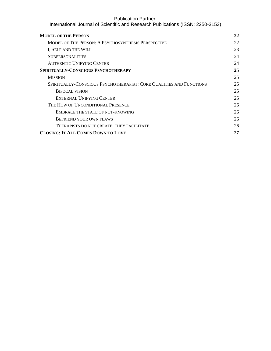| <b>MODEL OF THE PERSON</b>                                          | 22 |
|---------------------------------------------------------------------|----|
| <b>MODEL OF THE PERSON: A PSYCHOSYNTHESIS PERSPECTIVE</b>           | 22 |
| I, SELF AND THE WILL                                                | 23 |
| <b>SUBPERSONALITIES</b>                                             | 24 |
| <b>AUTHENTIC UNIFYING CENTER</b>                                    | 24 |
| <b>SPIRITUALLY-CONSCIOUS PSYCHOTHERAPY</b>                          | 25 |
| <b>MISSION</b>                                                      | 25 |
| SPIRITUALLY-CONSCIOUS PSYCHOTHERAPIST: CORE QUALITIES AND FUNCTIONS | 25 |
| <b>BIFOCAL VISION</b>                                               | 25 |
| EXTERNAL UNIFYING CENTER                                            | 25 |
| THE HOW OF UNCONDITIONAL PRESENCE                                   | 26 |
| EMBRACE THE STATE OF NOT-KNOWING                                    | 26 |
| <b>BEFRIEND YOUR OWN FLAWS</b>                                      | 26 |
| THERAPISTS DO NOT CREATE, THEY FACILITATE.                          | 26 |
| <b>CLOSING: IT ALL COMES DOWN TO LOVE</b>                           | 27 |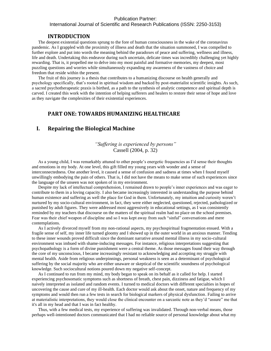### International Journal of Scientific and Research Publications (ISSN: 2250-3153)

#### **INTRODUCTION**

<span id="page-7-0"></span>The deepest existential questions sprung to the fore of human consciousness in the wake of the coronavirus pandemic. As I grappled with the proximity of illness and death that the situation summoned, I was compelled to further explore and put into words the meaning behind the paradoxes of peace and suffering, wellness and illness, life and death. Undertaking this endeavor during such uncertain, delicate times was incredibly challenging yet highly rewarding. That is, it propelled me to delve into my most painful and formative memories, my deepest, most puzzling questions and worries while simultaneously expanding my awareness of the vastness of choice and freedom that reside within the present.

The fruit of this journey is a thesis that contributes to a humanizing discourse on health generally and psychology specifically, that's rooted in spiritual wisdom and backed by post-materialist scientific insights. As such, a sacred psychotherapeutic praxis is birthed, as a path to the synthesis of analytic competence and spiritual depth is carved. I created this work with the intention of helping sufferers and healers to restore their sense of hope and love as they navigate the complexities of their existential experiences.

# <span id="page-7-1"></span>**PART ONE: TOWARDS HUMANIZING HEALTHCARE**

# <span id="page-7-2"></span>**I. Repairing the Biological Machine**

# *"Suffering is experienced by persons"*  Cassell (2004, p. 32)

As a young child, I was remarkably attuned to other people's energetic frequencies as I'd sense their thoughts and emotions in my body. At one level, this gift filled my young years with wonder and a sense of interconnectedness. One another level, it caused a sense of confusion and sadness at times when I found myself unwillingly embodying the pain of others. That is, I did not have the means to make sense of such experiences since the language of the unseen was not spoken of in my environment.

Despite my lack of intellectual comprehension, I remained drawn to people's inner experiences and was eager to contribute to them in a loving capacity. I also became increasingly interested in understanding the purpose behind human existence and suffering as well the place for God in them. Unfortunately, my intuition and curiosity weren't nurtured by my socio-cultural environment, in fact, they were either neglected, questioned, rejected, pathologized or punished by adult figures. They were addressed most aggressively in educational settings, as I was consistently reminded by my teachers that discourse on the matters of the spiritual realm had no place on the school premises. Fear was their chief weapon of discipline and so I was kept away from such "sinful" conversations and mere contemplations.

As I actively divorced myself from my non-rational aspects, my psychospiritual fragmentation ensued. With a fragile sense of self, my inner life turned gloomy and I showed up in the outer world in an anxious manner. Tending to these inner wounds proved difficult since the dominant narrative around mental illness in my socio-cultural environment was imbued with shame-inducing messages. For instance, religious interpretations suggesting that psychopathology is a form of divine punishment were a central theme. As those messages found their way through the core of my unconscious, I became increasingly resistant to acknowledging and accepting my struggle with mental health. Aside from religious underpinnings, personal weakness is seen as a determinant of psychological suffering by the social majority who are either unaware or skeptical of the scientific soundness of psychological knowledge. Such sociocultural notions poured down my negative self-concept.

As I continued to run from my mind, my body began to speak on its behalf as it called for help. I started experiencing psychosomatic symptoms such as shortness of breath, chest pain, dizziness and fatigue, which I naively interpreted as isolated and random events. I turned to medical doctors with different specialties in hopes of uncovering the cause and cure of my ill-health. Each doctor would ask about the onset, nature and frequency of my symptoms and would then run a few tests in search for biological markers of physical dysfunction. Failing to arrive at materialistic interpretations, they would close the clinical encounter on a sarcastic note as they'd "assure" me that it's all in my head and that I was in fact healthy.

Thus, with a few medical tests, my experience of suffering was invalidated. Through non-verbal means, those perhaps well-intentioned doctors communicated that I had no reliable source of personal knowledge about what my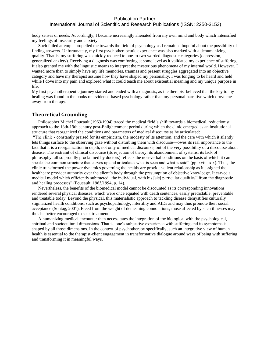# International Journal of Scientific and Research Publications (ISSN: 2250-3153)

body senses or needs. Accordingly, I became increasingly alienated from my own mind and body which intensified my feelings of insecurity and anxiety.

Such failed attempts propelled me towards the field of psychology as I remained hopeful about the possibility of finding answers. Unfortunately, my first psychotherapeutic experience was also marked with a dehumanizing quality. That is, my suffering was quickly reduced to one-to-two worded diagnostic categories (depression, generalized anxiety). Receiving a diagnosis was comforting at some level as it validated my experience of suffering. It also granted me with the linguistic means to interpret the mysterious phenomena of my internal world. However, I wanted more than to simply have my life memories, traumas and present struggles aggregated into an objective category and have my therapist assume how they have shaped my personality. I was longing to be heard and held while I dove into my pain and explored what it could teach me about existential meaning and my unique purpose in life.

My first psychotherapeutic journey started and ended with a diagnosis, as the therapist believed that the key to my healing was found in the books on evidence-based psychology rather than my personal narrative which drove me away from therapy.

### <span id="page-8-0"></span>**Theoretical Grounding**

Philosopher Michel Foucault (1963/1994) traced the medical field's shift towards a biomedical, reductionist approach to the 18th-19th century post-Enlightenment period during which the clinic emerged as an institutional structure that reorganized the conditions and parameters of medical discourse as he articulated:

"The clinic - constantly praised for its empiricism, the modesty of its attention, and the care with which it silently lets things surface to the observing gaze without disturbing them with discourse—owes its real importance to the fact that it is a reorganization in depth, not only of medical discourse, but of the very possibility of a discourse about disease. The restraint of clinical discourse (its rejection of theory, its abandonment of systems, its lack of philosophy; all so proudly proclaimed by doctors) reflects the non-verbal conditions on the basis of which it can speak: the common structure that carves up and articulates what is seen and what is said" (pp. xviii–xix). Thus, the clinic transformed the power dynamics governing the healthcare provider-client relationship as it assigned the healthcare provider authority over the client's body through the presumption of objective knowledge. It carved a medical model which efficiently subtracted "the individual, with his [sic] particular qualities" from the diagnostic and healing processes" (Foucault, 1963/1994, p. 14).

Nevertheless, the benefits of the biomedical model cannot be discounted as its corresponding innovations rendered several physical diseases, which were once equated with death sentences, easily predictable, preventable and treatable today. Beyond the physical, this materialistic approach to tackling disease demystifies culturally stigmatized health conditions, such as psychopathology, infertility and AIDs and may thus promote their social acceptance (Sontag, 2001). Freed from the weight of demeaning connotations, those affected by such illnesses may thus be better encouraged to seek treatment.

A humanizing medical encounter then necessitates the integration of the biological with the psychological, spiritual and sociocultural dimensions. That is, one's subjective experience with suffering and its symptoms is shaped by all those dimensions. In the context of psychotherapy specifically, such an integrative view of human health is essential to the therapist-client engagement in transformative dialogue around ways of being with suffering and transforming it in meaningful ways.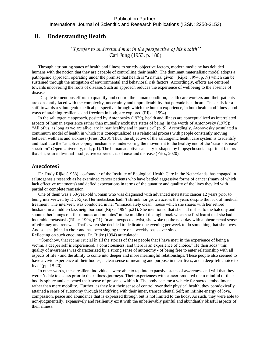International Journal of Scientific and Research Publications (ISSN: 2250-3153)

# <span id="page-9-0"></span>**II. Understanding Health**

# *''I prefer to understand man in the perspective of his health''*  Carl Jung (1953, p. 180)

Through attributing states of health and illness to strictly objective factors, modern medicine has deluded humans with the notion that they are capable of controlling their health. The dominant materialistic model adopts a pathogenic approach; operating under the premise that health is "a natural given" (Rijke, 1994, p.19) which can be sustained through the mitigation of environmental and behavioral risk factors. Accordingly, efforts are centered towards uncovering the roots of disease. Such an approach reduces the experience of wellbeing to the absence of disease.

Despite tremendous efforts to quantify and control the human condition, health care workers and their patients are constantly faced with the complexity, uncertainty and unpredictability that pervade healthcare. This calls for a shift towards a salutogenic medical perspective through which the human experience, in both health and illness, and ways of attaining resilience and freedom in both, are explored (Rijke, 1994).

In the salutogenic approach, posited by Antonovsky (1979), health and illness are conceptualized as interrelated aspects of human experience rather than mutually exclusive states of being. In the words of Antonovsky (1979): "All of us, as long as we are alive, are in part healthy and in part sick" (p. 5). Accordingly, Atonovosky postulated a continuum model of health in which it is conceptualized as a relational process with people constantly moving between wellness and sickness (Fries, 2020). Thus, the objective of the salutogenic health care system is to identify and facilitate the "adaptive coping mechanisms underscoring the movement to the healthy end of the 'ease–dis-ease' spectrum" (Open University, n.d., p.1). The human adaptive capacity is shaped by biopsychosocial-spiritual factors that shape an individual's subjective experiences of ease and dis-ease (Fries, 2020).

#### <span id="page-9-1"></span>**Anecdotes?**

Dr. Rudy Rijke (1958), co-founder of the Institute of Ecological Health Care in the Netherlands, has engaged in salutogenesis research as he examined cancer patients who have battled aggressive forms of cancer (many of which lack effective treatments) and defied expectations in terms of the quantity and quality of the lives they led with partial or complete remission.

One of them was a 63-year-old woman who was diagnosed with advanced metastatic cancer 12 years prior to being interviewed by Dr. Rijke. Her metastasis hadn't shrunk nor grown across the years despite the lack of medical treatment. The interview was conducted in her "immaculately clean" house which she shares with her retired husband in a middle-class neighborhood (Rijke, 1994, p.21). She mentioned that she had rushed to the balcony and shouted her "lungs out for minutes and minutes" in the middle of the night back when she first learnt that she had incurable metastasis (Rijke, 1994, p.21). In an unexpected twist, she woke up the next day with a phenomenal sense of vibrancy and renewal. That's when she decided to dedicate one evening per week to do something that she loves. And so, she joined a choir and has been singing there on a weekly basis ever since. Reflecting on such encounters, Dr. Rijke (1994) articulated:

"Somehow, that seems crucial in all the stories of these people that I have met: in the experience of being a victim, a deeper self is experienced, a consciousness, and there is an experience of choice." He then adds "this quality of awareness was characterized by a strong sense of autonomy - of being free to enter relationship with all aspects of life - and the ability to come into deeper and more meaningful relationships. These people also seemed to have a vivid experience of their bodies, a clear sense of meaning and purpose in their lives, and a deep-felt choice to live" (pp. 19-20).

In other words, these resilient individuals were able to tap into expansive states of awareness and will that they weren't able to access prior to their illness journeys. Their experiences with cancer rendered them mindful of their bodily sphere and deepened their sense of presence within it. The body became a vehicle for sacred embodiment rather than mere mobility. Further, as they lost their sense of control over their physical health, they paradoxically attained a sense of autonomy through identifying with their inner, transcendental Self; an infinite energy of love, compassion, peace and abundance that is expressed through but is not limited to the body. As such, they were able to non-judgmentally, expansively and resiliently exist with the unbelievably painful and abundantly blissful aspects of their illness.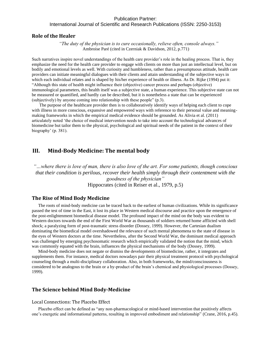#### <span id="page-10-0"></span>**Role of the Healer**

*"The duty of the physician is to cure occasionally, relieve often, console always."* Ambroise Paré (cited in Czerniak & Davidson, 2012, p.771)

Such narratives inspire novel understandings of the health care provider's role in the healing process. That is, they emphasize the need for the health care provider to engage with clients on more than just an intellectual level, but on bodily and emotional levels as well. With curiosity and humbleness, rather than a presumptuous attitude, health care providers can initiate meaningful dialogues with their clients and attain understanding of the subjective ways in which each individual relates and is shaped by his/her experience of health or illness. As Dr. Rijke (1994) put it: "Although this state of health might influence their (objective) cancer process and perhaps (objective) immunological parameters, this health itself was a subjective state, a human experience. This subjective state can not be measured or quantified, and hardly can be described, but it is nonetheless a state that can be experienced (subjectively) by anyone coming into relationship with these people" (p.3).

The purpose of the healthcare provider then is to collaboratively identify ways of helping each client to cope with illness in more conscious, expansive and empowered ways with reference to their personal value and meaningmaking frameworks in which the empirical medical evidence should be grounded. As Alivia et al. [\(2011\)](https://link.springer.com/article/10.1057/s41285-019-00103-2#ref-CR1) articulately noted 'the choice of medical intervention needs to take into account the technological advances of biomedicine but tailor them to the physical, psychological and spiritual needs of the patient in the context of their biography' (p. 381).

# <span id="page-10-1"></span>**III. Mind-Body Medicine: The mental body**

*"…where there is love of man, there is also love of the art. For some patients, though conscious that their condition is perilous, recover their health simply through their contentment with the goodness of the physician"*  Hippocrates (cited in Reiser et al., 1979, p.5)

# <span id="page-10-2"></span>**The Rise of Mind Body Medicine**

The roots of mind-body medicine can be traced back to the earliest of human civilizations. While its significance passed the test of time in the East, it lost its place in Western medical discourse and practice upon the emergence of the post-enlightenment biomedical disease model. The profound impact of the mind on the body was evident to Western doctors towards the end of the First World War as thousands of soldiers returned home afflicted with shell shock; a paralyzing form of post-traumatic stress disorder (Dossey, 1999). However, the Cartesian dualism dominating the biomedical model overshadowed the relevance of such mental phenomena to the state of disease in the eyes of Western doctors at the time. Nevertheless, after the Second World War, the dominant medical approach was challenged by emerging psychosomatic research which empirically validated the notion that the mind, which was commonly equated with the brain, influences the physical mechanisms of the body (Dossey, 1999).

Mind-body medicine does not negate or dismiss the developments of biomedicine, rather, it integrates and supplements them. For instance, medical doctors nowadays pair their physical treatment protocol with psychological counseling through a multi-disciplinary collaboration. Also, in both frameworks, the mind/consciousness is considered to be analogous to the brain or a by-product of the brain's chemical and physiological processes (Dossey, 1999).

### <span id="page-10-3"></span>**The Science behind Mind Body-Medicine**

#### <span id="page-10-4"></span>Local Connections: The Placebo Effect

Placebo effect can be defined as "any non-pharmacological or mind-based intervention that positively affects one's energetic and informational patterns, resulting in improved embodiment and relationship" (Crane, 2016, p.45).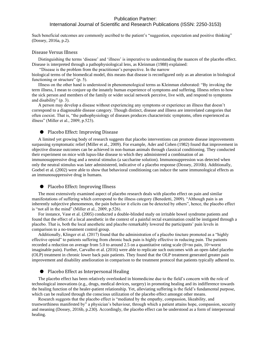# International Journal of Scientific and Research Publications (ISSN: 2250-3153)

Such beneficial outcomes are commonly ascribed to the patient's "suggestion, expectation and positive thinking" (Dossey, 2016a, p.2).

#### <span id="page-11-0"></span>Disease Versus Illness

Distinguishing the terms 'disease' and 'illness' is imperative to understanding the nuances of the placebo effect. Disease is interpreted through a pathophysiological lens, as Kleinman (1988) explained:

"Disease is the problem from the practitioner's perspective. In the narrow

biological terms of the biomedical model, this means that disease is reconfigured only as an alteration in biological functioning or structure" (p. 5).

Illness on the other hand is understood in phenomenological terms as Kleinman elaborated: "By invoking the term illness, I mean to conjure up the innately human experience of symptoms and suffering. Illness refers to how the sick person and members of the family or wider social network perceive, live with, and respond to symptoms and disability" (p. 3).

A person may develop a disease without experiencing any symptoms or experience an illness that doesn't correspond to a diagnosable disease category. Though distinct, disease and illness are interrelated categories that often coexist. That is, "the pathophysiology of diseases produces characteristic symptoms, often experienced as illness" (Miller et al., 2009, p.523).

#### <span id="page-11-1"></span>● Placebo Effect: Improving Disease

A limited yet growing body of research suggests that placebo interventions can promote disease improvements surpassing symptomatic relief (Miller et al., 2009). For example, Ader and Cohen (1982) found that improvement in objective disease outcomes can be achieved in non-human animals through classical conditioning. They conducted their experiment on mice with lupus-like disease to which they administered a combination of an immunosuppressive drug and a neutral stimulus (a saccharine solution). Immunosuppression was detected when only the neutral stimulus was later administered, indicative of a placebo response (Dossey, 2016b). Additionally, Goebel et al. (2002) were able to show that behavioral conditioning can induce the same immunological effects as an immunosuppressive drug in humans.

#### <span id="page-11-2"></span>● Placebo Effect: Improving Illness

The most extensively examined aspect of placebo research deals with placebo effect on pain and similar manifestations of suffering which correspond to the illness category (Benedetti, 2009). "Although pain is an inherently subjective phenomenon, the pain behavior it elicits can be detected by others", hence, the placebo effect is "not all in the mind" (Miller et al., 2009, p.526).

For instance, Vase et al. (2005) conducted a double-blinded study on irritable bowel syndrome patients and found that the effect of a local anesthetic in the context of a painful rectal examination could be instigated through a placebo. That is, both the local anesthetic and placebo remarkably lowered the participants' pain levels in comparison to a no-treatment control group.

Additionally, Klinger et al. (2017) found that the administration of a placebo tincture promoted as a "highly effective opioid" to patients suffering from chronic back pain is highly effective in reducing pain. The patients recorded a reduction on average from 5.0 to around 2.5 on a quantitative rating scale (0=no pain, 10=worst imaginable pain). Further, Carvalho et al. (2016) were able to replicate such outcomes with an open-label placebo (OLP) treatment in chronic lower back pain patients. They found that the OLP treatment generated greater pain improvement and disability amelioration in comparison to the treatment protocol that patients typically adhered to.

#### <span id="page-11-3"></span>● Placebo Effect as Interpersonal Healing

The placebo effect has been relatively overlooked in biomedicine due to the field's concern with the role of technological innovations (e.g., drugs, medical devices, surgery) in promoting healing and its indifference towards the healing function of the healer-patient relationship. Yet, alleviating suffering is the field's fundamental purpose, which can be realized through the conscious utilization of the placebo effect amongst other means.

Research suggests that the placebo effect is "mediated by the empathy, compassion, likeability, and trustworthiness manifested by" a physician's behaviour, through which a patient attains hope, compassion, security and meaning (Dossey, 2016b, p.230). Accordingly, the placebo effect can be understood as a form of interpersonal healing.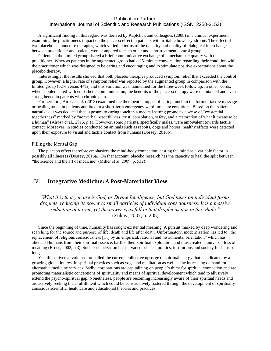# International Journal of Scientific and Research Publications (ISSN: 2250-3153)

A significant finding in this regard was derived by Kaptchuk and colleagues (2008) in a clinical experiment examining the practitioner's impact on the placebo effect in patients with irritable bowel syndrome. The effect of two placebo acupuncture therapies, which varied in terms of the quantity and quality of dialogical interchange between practitioner and patient, were compared to each other and a no-treatment control group.

Patients in the limited group shared a brief communicative exchange of a mechanistic quality with the practitioner. Whereas patients in the augmented group had a 25-minute conversation regarding their condition with the practitioner which was designed to be caring and encouraging and to stimulate positive expectations about the placebo therapy.

Interestingly, the results showed that both placebo therapies produced symptom relief that exceeded the control group. However, a higher rate of symptom relief was reported by the augmented group in comparison with the limited group (62% versus 44%) and this variation was maintained for the three-week follow up. In other words, when supplemented with empathetic communication, the benefits of the placebo therapy were maintained and even strengthened in patients with chronic pain.

Furthermore, Airosa et al. (2013) examined the therapeutic impact of caring touch in the form of tactile massage or healing touch in patients admitted to a short-term emergency ward for acute conditions. Based on the patients' narratives, it was deduced that exposure to caring touch in a medical setting promotes a sense of "existential togetherness" marked by "nonverbal peacefulness, trust, consolation, safety, and a restoration of what it means to be a human" (Airosa et al., 2013, p.1). However, some patients, specifically males, were ambivalent towards tactile contact. Moreover, in studies conducted on animals such as rabbits, dogs and horses, healthy effects were detected upon their exposure to visual and tactile contact from humans (Dossey, 2016b).

#### <span id="page-12-0"></span>Filling the Mental Gap

The placebo effect therefore emphasizes the mind-body connection, casting the mind as a variable factor in possibly all illnesses (Dossey, 2016a). On that account, placebo research has the capacity to heal the split between "the science and the art of medicine" (Miller et al, 2009, p. 532).

# <span id="page-12-1"></span>IV. **Integrative Medicine: A Post-Materialist View**

*"What it is that you are is God, or Divine Intelligence, but God takes on individual forms, droplets, reducing its power to small particles of individual consciousness. It is a massive reduction of power, yet the power is as full in that droplet as it is in the whole."* (Zukav, 2007, p. 205)

Since the beginning of time, humanity has sought existential meaning. A pursuit marked by deep wondering and searching for the source and purpose of life, death and life after death. Unfortunately, modernization has led to "the replacement of religious consciousness […] by an empirical, rational and instrumental orientation" which has alienated humans from their spiritual essence, baffled their spiritual exploration and thus created a universal loss of meaning (Bruce, 2002, p.3). Such secularization has pervaded science, politics, institutions and society for far too long.

Yet, this universal void has propelled the current, collective upsurge of spiritual energy that is indicated by a growing global interest in spiritual practices such as yoga and meditation as well as the increasing demand for alternative medicine services. Sadly, corporations are capitalizing on people's thirst for spiritual connection and are promoting materialistic conceptions of spirituality and means of spiritual development which tend to allusively extend the psycho-spiritual gap. Nonetheless, people are becoming increasingly aware of their spiritual needs and are actively seeking their fulfillment which could be constructively fostered through the development of spirituallyconscious scientific, healthcare and educational theories and practices.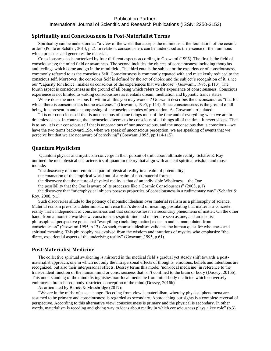#### <span id="page-13-0"></span>**Spirituality and Consciousness in Post-Materialist Terms**

Spirituality can be understood as "a view of the world that accepts the numinous at the foundation of the cosmic order" (Ponte & Schäfer, 2013, p.2). In relation, consciousness can be understood as the essence of the numinous which precedes and generates the material.

Consciousness is characterized by four different aspects according to Goswami (1995). The first is the field of consciousness; the mind field or awareness. The second includes the objects of consciousness including thoughts and feelings which come and go in the mind field. The third entails the subject or the experiencer of consciousness, commonly referred to as the conscious Self. Consciousness is commonly equated with and mistakenly reduced to the conscious self. Moreover, the conscious Self is defined by the act of choice and the subject's recognition of it, since our "capacity for choice...makes us conscious of the experiences that we choose" (Goswami, 1995, p.113). The fourth aspect is consciousness as the ground of all being which refers to the experience of consciousness. Conscious experience is not limited to waking consciousness as it entails dream, meditation and hypnotic trance states.

Where does the unconscious fit within all this you may wonder? Goswami describes the unconscious as "that for which there is consciousness but no awareness" (Goswami, 1995, p.114). Since consciousness is the ground of all being, it is present in and encompassing of unconscious modes of perception. As Goswami articulated:

"It is our conscious self that is unconscious of some things most of the time and of everything when we are in dreamless sleep. In contrast, the unconscious seems to be conscious of all things all of the time. It never sleeps. That is to say, it is our conscious self that is unconscious of our unconscious, and the unconscious that is conscious—we have the two terms backward...So, when we speak of unconscious perception, we are speaking of events that we perceive but that we are not aware of perceiving" (Goswami,1995, pp.114-115).

#### <span id="page-13-1"></span>**Quantum Mysticism**

Quantum physics and mysticism converge in their pursuit of truth about ultimate reality. Schäfer & Roy outlined the metaphysical characteristics of quantum theory that align with ancient spiritual wisdom and those include:

"the discovery of a non-empirical part of physical reality in a realm of potentiality;

the emanation of the empirical world out of a realm of non-material forms;

the discovery that the nature of physical reality is that of an indivisible Wholeness – the One

the possibility that the One is aware of its processes like a Cosmic Consciousness" (2008, p.1)

the discovery that "microphysical objects possess properties of consciousness in a rudimentary way" (Schäfer & Roy, 2008, p.1)

Such discoveries allude to the potency of monistic idealism over material realism as a philosophy of science. Material realism presents a deterministic universe that's devoid of meaning; postulating that matter is a concrete reality that's independent of consciousness and that consciousness is a secondary phenomena of matter. On the other hand, from a monistic worldview, consciousness/spirit/mind and matter are seen as one, and an idealist philosophical perspective posits that "everything (including matter) exists in and is manipulated from consciousness" (Goswami,1995, p.17). As such, monistic idealism validates the human quest for wholeness and spiritual meaning. This philosophy has evolved from the wisdom and intuitions of mystics who emphasize "the direct, experiential aspect of the underlying reality" (Goswami,1995, p.61).

#### <span id="page-13-2"></span>**Post-Materialist Medicine**

The collective spiritual awakening is mirrored in the medical field's gradual yet steady shift towards a postmaterialist approach, one in which not only the intrapersonal effects of thoughts, emotions, beliefs and intentions are recognized, but also their interpersonal effects. Dossey terms this model 'non-local medicine' in reference to the transcendent function of the human mind or consciousness that isn't confined to the brain or body (Dossey, 2016b). This understanding of the mind distinguishes non-local medicine from mind-body medicine which conversely embraces a brain-based, body-restricted conception of the mind (Dossey, 2016b).

As articulated by Barušs & Mossbridge (2017):

"We are in the midst of a sea change. Receding from view is materialism, whereby physical phenomena are assumed to be primary and consciousness is regarded as secondary. Approaching our sights is a complete reversal of perspective. According to this alternative view, consciousness is primary and the physical is secondary. In other words, materialism is receding and giving way to ideas about reality in which consciousness plays a key role" (p.3).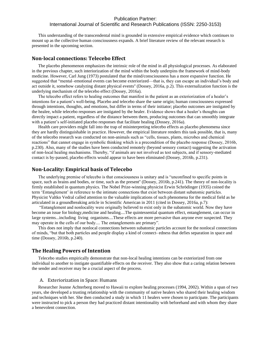This understanding of the transcendental mind is grounded in extensive empirical evidence which continues to mount up as the collective human consciousness expands. A brief literature review of the relevant research is presented in the upcoming section.

#### <span id="page-14-0"></span>**Non-local connections: Telecebo Effect**

The placebo phenomenon emphasizes the intrinsic role of the mind in all physiological processes. As elaborated in the previous chapter, such interiorization of the mind within the body underpins the framework of mind-body medicine. However, Carl Jung (1973) postulated that the mind/consciousness has a more expansive function. He suggested that "mental–emotional events can become exteriorized—that is, they can escape an individual's body and act outside it, somehow catalyzing distant physical events'' (Dossey, 2016a, p.2). This externalization function is the underlying mechanism of the telecebo effect (Dossey, 2016a).

The telecebo effect refers to healing outcomes that manifest in the patient as an exteriorization of a healer's intentions for a patient's well-being. Placebo and telecebo share the same origin; human consciousness expressed through intentions, thoughts, and emotions, but differ in terms of their initiator; placebo outcomes are instigated by the healee, while telecebo responses are instigated by the healer. Evidence shows that a healer's thoughts can directly impact a patient, regardless of the distance between them, producing outcomes that can smoothly integrate with a patient's self-initiated placebo responses that facilitate healing (Dossey, 2016a).

Health care providers might fall into the trap of misinterpreting telecebo effects as placebo phenomena since they are hardly distinguishable in practice. However, the empirical literature renders this task possible, that is, many of the telecebo research was conducted on non-animals such as "cells, tissues, plants, microbes and chemical reactions" that cannot engage in symbolic thinking which is a precondition of the placebo response (Dossey, 2016b, p.230). Also, many of the studies have been conducted remotely (beyond sensory contact) suggesting the activation of non-local healing mechanisms. Thereby, "if animals are not involved as test subjects, and if sensory-mediated contact is by-passed, placebo effects would appear to have been eliminated (Dossey, 2016b, p.231).

#### <span id="page-14-1"></span>**Non-Locality: Empirical basis of Telecebo**

The underlying premise of telecebo is that consciousness is unitary and is "unconfined to specific points in space, such as brains and bodies, or time, such as the present'' (Dossey, 2016b, p.241). The theory of non-locality is firmly established in quantum physics. The Nobel Prize-winning physicist Erwin Schrödinger (1935) coined the term 'Entanglement' in reference to the intimate connections that exist between distant subatomic particles. Physicist Valtko Vedral called attention to the valuable implications of such phenomena for the medical field as he articulated in a groundbreaking article in Scientific American in 2011 (cited in Dossey, 2016a, p.7):

"Entanglement and nonlocality were originally believed to exist only in the subatomic world. Now they have become an issue for biology,medicine and healing....The quintessential quantum effect, entanglement, can occur in large systems...including living organisms....These effects are more pervasive than anyone ever suspected. They may operate in the cells of our body.... The entanglements are primary".

This does not imply that nonlocal connections between subatomic particles account for the nonlocal connections of minds, "but that both particles and people display a kind of connect- edness that defies separation in space and time (Dossey, 2016b, p.240).

#### <span id="page-14-2"></span>**The Healing Powers of Intention**

Telecebo studies empirically demonstrate that non-local healing intentions can be exteriorized from one individual to another to instigate quantifiable effects on the receiver. They also show that a caring relation between the sender and receiver may be a crucial aspect of the process.

#### <span id="page-14-3"></span>A. Exteriorization in Space: Humans

Researcher Jeanne Achterberg moved to Hawaii to explore healing processes (1994, 2002). Within a span of two years, she developed a trusting relationship with the community of native healers who shared their healing wisdom and techniques with her. She then conducted a study in which 11 healers were chosen to participate. The participants were instructed to pick a person they had practiced distant intentionality with beforehand and with whom they share a benevolent connection.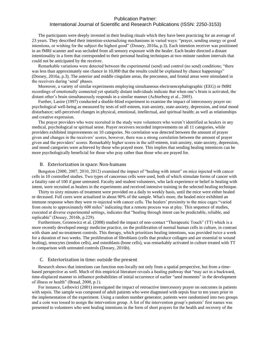# International Journal of Scientific and Research Publications (ISSN: 2250-3153)

The participants were deeply invested in their healing rituals which they have been practicing for an average of 23 years. They described their intention-externalizing mechanisms in varied ways: "prayer, sending energy or good intentions, or wishing for the subject the highest good" (Dossey, 2016a, p.3). Each intention receiver was positioned in an fMRI scanner and was secluded from all sensory exposure with the healer. Each healer directed a distant intentionality in a form that corresponded to their personal healing techniques at two-minute random intervals that could not be anticipated by the receiver.

Remarkable variations were detected between the experimental (send) and control (no send) conditions; "there was less than approximately one chance in 10,000 that the results could be explained by chance happenings" (Dossey, 2016a, p.3). The anterior and middle cingulate areas, the precuneus, and frontal areas were stimulated in the receivers during 'send' phases.

Moreover, a variety of similar experiments employing simultaneous electroencephalographic (EEG) or fMRI recordings of emotionally connected yet spatially distant individuals indicate that when one's brain is activated, the distant other's brain simultaneously responds in a similar manner (Achterberg et al., 2005).

Further, Laoire (1997) conducted a double-blind experiment to examine the impact of intercessory prayer on: psychological well-being as measured by tests of self-esteem, trait-anxiety, state-anxiety, depression, and total mood disturbance; self-perceived changes in physical, emotional, intellectual, and spiritual health; as well as relationships and creative expression.

The prayer providers who were recruited in the study were volunteers who weren't identified as healers in any medical, psychological or spiritual sense. Prayer receivers recorded improvements on all 11 categories, while providers exhibited improvements on 10 categories. No correlation was detected between the amount of prayer given and changes in the receivers' scores, however, there was a strong correlation between the amount of prayer given and the providers' scores. Remarkably higher scores in the self-esteem, trait-anxiety, state-anxiety, depression, and mood categories were achieved by those who prayed more. This implies that sending healing intentions can be more psychologically beneficial for those who pray rather than those who are prayed for.

#### <span id="page-15-0"></span>B. Exteriorization in space: Non-humans

Bengston (2000, 2007, 2010, 2012) examined the impact of "healing with intent" on mice injected with cancer cells in 10 controlled studies. Two types of cancerous cells were used, both of which stimulate forms of cancer with a fatality rate of 100 if gone untreated. Faculty and student volunteers, who lack experience or belief in healing with intent, were recruited as healers in the experiments and received intensive training in the selected healing technique.

Thirty to sixty minutes of treatment were provided on a daily to weekly basis, until the mice were either healed or deceased. Full cures were actualized in about 90% of the sample. What's more, the healed mice exhibited an immune response when they were re-injected with cancer cells. The healers' proximity to the mice cages "varied from onsite to approximately 600 miles" indicating that a remote process was at play. This sequence of studies, executed at diverse experimental settings, indicates that "healing through intent can be predictable, reliable, and replicable" (Dossey, 2016b, p.229).

Furthermore, Gronowicz et al. (2008) studied the impact of non-contact "Therapeutic Touch" (TT) which is a more recently developed energy medicine practice, on the proliferation of normal human cells in culture, in contrast with sham and no-treatment controls. This therapy, which prioritizes healing intentions, was provided twice a week for a duration of two weeks. The proliferation of fibroblasts (cells that produce collagen and are essential to wound healing), tenocytes (tendon cells), and osteoblasts (bone cells), was remarkably activated in culture treated with TT in comparison with untreated controls (Dossey, 2016b).

#### <span id="page-15-1"></span>C. Exteriorization in time: outside the present

Research shows that intentions can function non-locally not only from a spatial perspective, but from a timebased perspective as well. Much of this empirical literature reveals a healing pathway that "may act in a backward, time-displaced manner to influence probabilities of initial occurrence of earlier "seed moments" in the development of illness or health" (Braud, 2000, p.1).

For instance, Leibovici (2001) investigated the impact of retroactive intercessory prayer on outcomes in patients with sepsis. The sample was composed of adult patients who were diagnosed with sepsis four to ten years prior to the implementation of the experiment. Using a random number generator, patients were randomised into two groups and a coin was tossed to assign the intervention group. A list of the intervention group's patients' first names was presented to volunteers who sent healing intentions in the form of short prayers for the health and recovery of the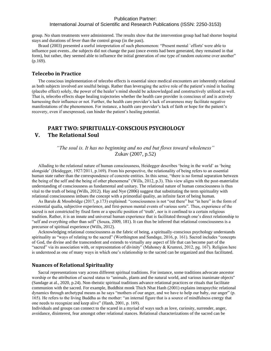# International Journal of Scientific and Research Publications (ISSN: 2250-3153)

group. No sham treatments were administered. The results show that the intervention group had had shorter hospital stays and durations of fever than the control group (in the past).

Braud (2003) presented a useful interpretation of such phenomenon: "Present mental `efforts' were able to influence past events...the subjects did not change the past (once events had been generated, they remained in that form), but rather, they seemed able to influence the initial generation of one type of random outcome over another" (p.169).

#### <span id="page-16-0"></span>**Telecebo in Practice**

The conscious implementation of telecebo effects is essential since medical encounters are inherently relational as both subjects involved are soulful beings. Rather than leveraging the active role of the patient's mind in healing (placebo effect) solely, the power of the healer's mind should be acknowledged and constructively utilized as well. That is, telecebo effects shape healing trajectories whether the health care provider is conscious of and is actively harnessing their influence or not. Further, the health care provider's lack of awareness may facilitate negative manifestations of the phenomenon. For instance, a health care provider's lack of faith or hope for the patient's recovery, even if unexpressed, can hinder the patient's healing potential.

# <span id="page-16-2"></span><span id="page-16-1"></span>**PART TWO: SPIRITUALLY-CONSCIOUS PSYCHOLOGY V. The Relational Soul**

*"The soul is. It has no beginning and no end but flows toward wholeness"*  Zukav (2007, p.52)

Alluding to the relational nature of human consciousness, Heidegger describes 'being in the world' as 'being alongside' (Heidegger, 1927/2011, p.169). From his perspective, the relationality of being refers to an essential human state rather than the correspondence of concrete entities. In this sense, "there is no formal separation between the being of the self and the being of other phenomena" (Wills, 2012, p.3). This view aligns with the post-materialist understanding of consciousness as fundamental and unitary. The relational nature of human consciousness is thus vital to the truth of being (Wills, 2012). Hay and Nye (2006) suggest that substituting the term spirituality with relational consciousness imbues the concept with a primordial quality, an infinite facet of being human.

As Barušs & Mossbridge (2017, p.173) explained: "consciousness is not "out there" but "in here" in the form of existential qualia, subjective experience, and first-person mental events of various sorts". Thus, experience of the sacred is not constricted by fixed form or a specific position of 'truth', nor is it confined to a certain religious tradition. Rather, it is an innate and universal human experience that is facilitated through one's direct relationship to "self and everything other than self" (Souza, [2009,](https://www-tandfonline-com.tc.idm.oclc.org/doi/full/10.1080/1364436X.2012.660747) 181). It can thus be inferred that relational consciousness is a precursor of spiritual experience (Wills, 2012).

Acknowledging relational consciousness as the fabric of being, a spiritually-conscious psychology understands spirituality as "ways of relating to the sacred" (Worthington and Sandage, 2016, p. 161). Sacred includes "concepts of God, the divine and the transcendent and extends to virtually any aspect of life that can become part of the "sacred" via its association with, or representation of divinity" (Mahoney & Krumrei, 2012, pg. 167). Religion here is understood as one of many ways in which one's relationship to the sacred can be organized and thus facilitated.

#### <span id="page-16-3"></span>**Nuances of Relational Spirituality**

Sacral representations vary across different spiritual traditions. For instance, some traditions advocate ancestor worship or the attribution of sacred status to "animals, plants and the natural world, and various inanimate objects'' (Sandage at al., 2020, p.24). Non-theistic spiritual traditions advance relational practices or rituals that facilitate communion with the sacred. For example, Buddhist monk Thich Nhat Hanh (2001) explains intrapsychic relational dynamics through archetypal means as he says "mothers of our anger, and we have to help our baby, our anger" (p. 165). He refers to the living Buddha as the mother: "an internal figure that is a source of mindfulness energy that one needs to recognize and keep alive" (Hanh, 2001, p. 169).

Individuals and groups can connect to the scared in a myriad of ways such as love, curiosity, surrender, anger, avoidance, disinterest, fear amongst other relational stances. Relational characterizations of the sacred can be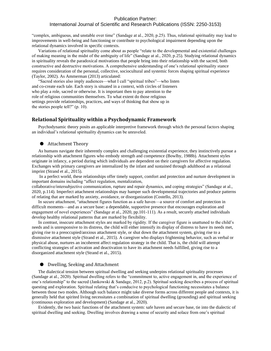"complex, ambiguous, and unstable over time" (Sandage at al., 2020, p.25). Thus, relational spirituality may lead to improvements in well-being and functioning or contribute to psychological impairment depending upon the relational dynamics involved in specific contexts.

Variations of relational spirituality come about as people "relate to the developmental and existential challenges of making meaning in the midst of the ambiguity of life" (Sandage at al., 2020, p.25). Studying relational dynamics in spirituality reveals the paradoxical motivations that people bring into their relationship with the sacred, both constructive and destructive motivations. A comprehensive understanding of one's relational spirituality stance requires consideration of the personal, collective, sociocultural and systemic forces shaping spiritual experience (Taylor, 2002). As Ammerman (2013) articulated:

"Sacred stories also imply audiences—what I call "spiritual tribes"—who listen and co-create each tale. Each story is situated in a context, with circles of listeners who play a role, sacred or otherwise. It is important then to pay attention to the role of religious communities themselves. To what extent do those religious settings provide relationships, practices, and ways of thinking that show up in the stories people tell?" (p. 10).

#### <span id="page-17-0"></span>**Relational Spirituality within a Psychodynamic Framework**

<span id="page-17-1"></span>Psychodynamic theory posits an applicable interpretive framework through which the personal factors shaping an individual's relational spirituality dynamics can be unraveled.

#### ● Attachment Theory

As humans navigate their inherently complex and challenging existential experience, they instinctively pursue a relationship with attachment figures who embody strength and competence (Bowlby, 1988b). Attachment styles originate in infancy, a period during which individuals are dependent on their caregivers for affective regulation. Exchanges with primary caregivers are internalized by the infant and sustained through adulthood as a relational imprint (Strand et al., 2015).

In a perfect world, these relationships offer timely support, comfort and protection and nurture development in important domains including "affect regulation, mentalization,

collaborative/intersubjective communication, rupture and repair dynamics, and coping strategies" (Sandage at al., 2020, p.114). Imperfect attachment relationships may hamper such developmental trajectories and produce patterns of relating that are marked by anxiety, avoidance, or disorganization (Costello, 2013).

In secure attachment, "attachment figures function as a safe haven—a source of comfort and protection in difficult moments—and as a secure base: a dependable, supportive presence that encourages exploration and engagement of novel experiences" (Sandage at al., 2020, pp.101-111). As a result, securely attached individuals develop healthy relational patterns that are marked by flexibility.

In contrast, insecure attachment styles are marked by rigidity. If the caregiver figure is unattuned to the child's needs and is unresponsive to its distress, the child will either intensify its display of distress to have its needs met, giving rise to a preoccupied/anxious attachment style, or shut down the attachment system, giving rise to a dismissive attachment style (Strand et al., 2015). A caregiver who displays frightening behavior, such as verbal or physical abuse, nurtures an incoherent affect regulation strategy in the child. That is, the child will attempt conflicting strategies of activation and deactivation to have its attachment needs fulfilled, giving rise to a disorganized attachment style (Strand et al., 2015).

#### <span id="page-17-2"></span>● Dwelling, Seeking and Attachment

The dialectical tension between spiritual dwelling and seeking underpins relational spirituality processes (Sandage at al., 2020). Spiritual dwelling refers to the "commitment to, active engagement in, and the experience of one's relationship" to the sacred (Jankowski & Sandage, 2012, p.2). Spiritual seeking describes a process of spiritual questing and exploration. Spiritual relating that's conducive to psychological functioning necessitates a balance between those two modes. Although such balance might take diverse forms across different people and contexts, it is generally held that spirited living necessitates a combination of spiritual dwelling (grounding) and spiritual seeking (continuous exploration and development) (Sandage at al., 2020).

Evidently, the two basic functions of the attachment system: safe haven and secure base, tie into the dialectic of spiritual dwelling and seeking. Dwelling involves drawing a sense of security and solace from one's spiritual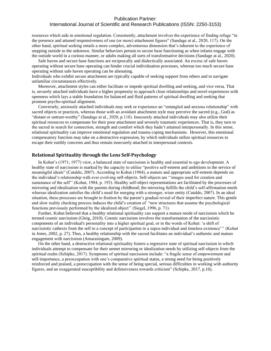resources which aids in emotional regulation. Consistently, attachment involves the experience of finding refuge "in the presence and attuned responsiveness of one (or more) attachment figures" (Sandage at al., 2020, 117). On the other hand, spiritual seeking entails a more complex, adventurous dimension that's inherent to the experience of stepping outside to the unknown. Similar behaviors pertain to secure base functioning as when infants engage with the outside world in a curious manner, or adults making all sorts of transformative decisions (Sandage at al., 2020).

Safe haven and secure base functions are reciprocally and dialectically associated. An excess of safe haven operating without secure base operating can hinder crucial individuation processes, whereas too much secure base operating without safe haven operating can be alienating.

Individuals who exhibit secure attachment are typically capable of seeking support from others and to navigate unfamiliar circumstances effectively.

Moreover, attachment styles can either facilitate or impede spiritual dwelling and seeking, and vice versa. That is, securely attached individuals have a higher propensity to approach close relationships and novel experiences with openness which lays a stable foundation for balanced and fluid patterns of spiritual dwelling and seeking that promote psycho-spiritual alignment.

Conversely, anxiously attached individuals may seek or experience an "entangled and anxious relationship" with sacred objects or practices, whereas those with an avoidant attachment style may perceive the sacred (e.g., God) as "distant or untrust-worthy" (Sandage at al., 2020, p.118). Insecurely attached individuals may also utilize their spiritual resources to compensate for their poor attachment and severely traumatic experiences. That is, they turn to the sacred in search for connection, strength and comfort which they hadn't attained interpersonally. In this sense, relational spirituality can improve emotional regulation and trauma coping mechanisms. However, this emotional compensatory function may take on a destructive expression, by which individuals utilize spiritual resources to escape their earthly concerns and thus remain insecurely attached in interpersonal contexts.

#### <span id="page-18-0"></span>**Relational Spirituality through the Lens Self-Psychology**

In Kohut's (1971; 1977) view, a balanced state of narcissism is healthy and essential to ego development. A healthy state of narcissism is marked by the capacity to utilize "positive self-esteem and ambitions in the service of meaningful ideals" (Cataldo, 2007). According to Kohut (1984), a mature and appropriate self-esteem depends on the individual's relationship with ever evolving self-objects. Self-objects are ''images used for creation and sustenance of the self'' (Kohut, 1984, p. 193). Healthy self-object representations are facilitated by the processes of mirroring and idealization with the parents during childhood; the mirroring fulfills the child's self-affirmation needs whereas idealization satisfies the child's need for merging with a stronger, wiser entity (Cataldo, 2007). In an ideal situation, these processes are brought to fruition by the parent's gradual reveal of their imperfect nature. This gentle and slow reality checking process induces the child's creation of "new structures that assume the psychological functions previously performed by the idealized object'' (Siegel, 1996, p. 71).

Further, Kohut believed that a healthy relational spirituality can support a mature mode of narcissism which he termed cosmic narcissism (Gleig, 2010). Cosmic narcissism involves the transformation of the narcissistic components of an individual's personality into a higher spiritual goal, or in the words of Kohut: 'a shift of narcissistic cathexis from the self to a concept of participation in a supra-individual and timeless existence''' (Kohut in Jones, 2002, p. 27). Thus, a healthy relationship with the sacred facilitates an individual's authentic and mature engagement with narcissism (Amarasingam, 2009).

On the other hand, a destructive relational spirituality fosters a regressive state of spiritual narcissism in which individuals attempt to compensate for their unmet mirroring or idealization needs by utilizing self-objects from the spiritual realm (Schipke, 2017). Symptoms of spiritual narcissism include: "a fragile sense of empowerment and self-importance, a preoccupation with one's comparative spiritual status, a strong need for being positively reinforced and praised, a preoccupation with the sense of being special, serious difficulties in working with authority figures, and an exaggerated susceptibility and defensiveness towards criticism" (Schipke, 2017, p.16).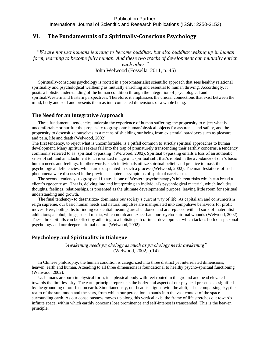International Journal of Scientific and Research Publications (ISSN: 2250-3153)

# <span id="page-19-0"></span>**VI. The Fundamentals of a Spiritually-Conscious Psychology**

*"We are not just humans learning to become buddhas, but also buddhas waking up in human form, learning to become fully human. And these two tracks of development can mutually enrich each other."*

John Welwood (Fossella, 2011, p. 45)

Spiritually-conscious psychology is rooted in a post-materialist scientific approach that sees healthy relational spirituality and psychological wellbeing as mutually enriching and essential to human thriving. Accordingly, it posits a holistic understanding of the human condition through the integration of psychological and spiritual/Western and Eastern perspectives. Therefore, it emphasizes the crucial connections that exist between the mind, body and soul and presents them as interconnected dimensions of a whole being.

# <span id="page-19-1"></span>**The Need for an Integrative Approach**

Three fundamental tendencies underpin the experience of human suffering; the propensity to reject what is uncomfortable or hurtful; the propensity to grasp onto human/physical objects for assurance and safety, and the propensity to desensitize ourselves as a means of shielding our being from existential paradoxes such as pleasure and pain, life and death (Welwood, 2002).

The first tendency, to reject what is uncomfortable, is a pitfall common to strictly spiritual approaches to human development. Many spiritual seekers fall into the trap of prematurely transcending their earthly concerns, a tendency commonly referred to as 'spiritual bypassing' (Welwood, 2002). Spiritual bypassing entails a loss of an authentic sense of self and an attachment to an idealized image of a spiritual self, that's rooted in the avoidance of one's basic human needs and feelings. In other words, such individuals utilize spiritual beliefs and practice to mask their psychological deficiencies, which are exasperated in such a process (Welwood, 2002). The manifestations of such phenomena were discussed in the previous chapter as symptoms of spiritual narcissism.

The second tendency- to grasp and fixate- is one of Western psychotherapy's inherent risks which can breed a client's egocentrism. That is, delving into and interpreting an individual's psychological material, which includes thoughts, feelings, relationships, is presented as the ultimate developmental purpose, leaving little room for spiritual understanding and growth.

The final tendency- to desensitize- dominates our society's current way of life. As capitalism and consumerism reign supreme, our basic human needs and natural impulses are manipulated into compulsive behaviors for profit moves. Here, both paths to finding existential meaning are abandoned and are replaced with all sorts of materialist addictions; alcohol, drugs, social media, which numb and exacerbate our psycho-spiritual wounds (Welwood, 2002). These three pitfalls can be offset by adhering to a holistic path of inner development which tackles both our personal psychology and our deeper spiritual nature (Welwood, 2002).

# <span id="page-19-2"></span>**Psychology and Spirituality in Dialogue**

*"Awakening needs psychology as much as psychology needs awakening"* (Welwood, 2002, p.14)

In Chinese philosophy, the human condition is categorized into three distinct yet interrelated dimensions; heaven, earth and human. Attending to all three dimensions is foundational to healthy psycho-spiritual functioning (Welwood, 2002).

Us humans are born in physical form, in a physical body with feet rooted in the ground and head elevated towards the limitless sky. The earth principle represents the horizontal aspect of our physical presence as signified by the grounding of our feet on earth. Simultaneously, our head is aligned with the aloft, all-encompassing sky; the realm of the sun, moon and the stars, from which our perception expands into the vast context of the space surrounding earth. As our consciousness moves up along this vertical axis, the frame of life stretches out towards infinite space, within which earthly concerns lose prominence and self-interest is transcended. This is the heaven principle.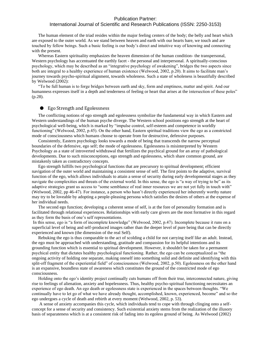# International Journal of Scientific and Research Publications (ISSN: 2250-3153)

The human element of the triad resides within the major feeling centers of the body; the belly and heart which are exposed to the outer world. As we stand between heaven and earth with our hearts bare, we touch and are touched by fellow beings. Such a basic feeling is our body's direct and intuitive way of knowing and connecting with the present.

Whereas Eastern spirituality emphasizes the heaven dimension of the human condition- the transpersonal, Western psychology has accentuated the earthly facet - the personal and interpersonal. A spiritually-conscious psychology, which may be described as an "integrative psychology of awakening", bridges the two aspects since both are integral to a healthy experience of human existence (Welwood, 2002, p.20). It aims to facilitate man's journey towards psycho-spiritual alignment, towards wholeness. Such a state of wholeness is beautifully described by Welwood (2002):

"To be full human is to forge bridges between earth and sky, form and emptiness, matter and spirit. And our humanness expresses itself in a depth and tenderness of feeling or heart that arises at the intersection of these poles" (p.28).

#### <span id="page-20-0"></span>● Ego Strength and Egolessness

The conflicting notions of ego strength and egolessness symbolize the fundamental way in which Eastern and Western understandings of the human psyche diverge. The Western school positions ego strength at the heart of psychological well-being, which is marked by "impulse control, self-esteem and competence in worldly functioning" (Welwood, 2002, p.45). On the other hand, Eastern spiritual traditions view the ego as a constricted mode of consciousness which humans choose to operate from for destructive, defensive purposes.

Consistently, Eastern psychology looks towards a mode of being that transcends the narrow perceptual boundaries of the defensive, ego self; the mode of egolessness. Egolessness is misinterpreted by Western Psychology as a state of introverted withdrawal that fertilizes the psychical ground for an array of pathological developments. Due to such misconceptions, ego strength and egolessness, which share common ground, are mistakenly taken as contradictory concepts.

Ego strength fulfills two psychological functions that are precursory to spiritual development; efficient navigation of the outer world and maintaining a consistent sense of self. The first points to the adaptive, survival function of the ego, which allows individuals to attain a sense of security during early developmental stages as they navigate the complexities and threats of the external world. In this sense, the ego is "a way of trying to be" as its adaptive strategies grant us access to "some semblance of real inner resources we are not yet fully in touch with" (Welwood, 2002, pp 46-47). For instance, a person who hasn't directly experienced her inherently worthy nature may try to be loveable by adopting a people-pleasing persona which satisfies the desires of others at the expense of her individual needs.

The second ego function; developing a coherent sense of self, is at the fore of personality formation and is facilitated through relational experiences. Relationships with early care givers are the most formative in this regard as they form the basis of one's self representations.

In this sense, ego is "a form of incomplete knowledge" (Welwood, 2002, p.47). Incomplete because it runs on a superficial level of being and self-produced images rather than the deeper level of pure being that can be directly experienced and known (the dimension of the real Self).

Rebuking the ego is thus comparable to the act of scolding a child for not carrying itself like an adult. Instead, the ego must be approached with understanding, gratitude and compassion for its helpful intentions and its grounding function which is essential to spiritual development. However, it shouldn't be taken for a permanent psychical entity that dictates healthy psychological functioning. Rather, the ego can be conceptualized as "the ongoing activity of holding one separate, making oneself into something solid and definite and identifying with this split-off fragment of the experiential field" of consciousness (Welwood, 2002, p.50). Egolessness on the other hand is an expansive, boundless state of awareness which constitutes the ground of the constricted mode of ego consciousness.

Holding onto the ego's identity project continually cuts humans off from their true, interconnected nature, giving rise to feelings of alienation, anxiety and hopelessness. Thus, healthy psycho-spiritual functioning necessitates an experience of ego death. An ego death or egolessness state is experienced in the spaces between thoughts. "We continually have to let go of what we have already thought, accomplished, known, experienced, become" and so the ego undergoes a cycle of death and rebirth at every moment (Welwood, 2002, p. 53).

A sense of anxiety accompanies this cycle, which individuals tend to cope with through clinging onto a selfconcept for a sense of security and consistency. Such existential anxiety stems from the realization of the illusory basis of separateness which is at a consistent risk of fading into its egoless ground of being. As Welwood (2002)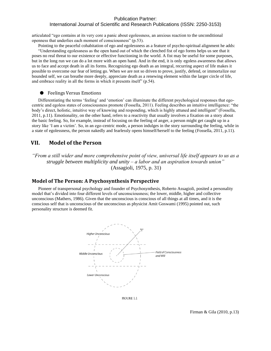# International Journal of Scientific and Research Publications (ISSN: 2250-3153)

articulated "ego contains at its very core a panic about egolessness, an anxious reaction to the unconditional openness that underlies each moment of consciousness" (p.53).

Pointing to the peaceful cohabitation of ego and egolessness as a feature of psycho-spiritual alignment he adds: "Understanding egolessness as the open hand out of which the clenched fist of ego forms helps us see that it poses no real threat to our existence or effective functioning in the world. A fist may be useful for some purposes, but in the long run we can do a lot more with an open hand. And in the end, it is only egoless awareness that allows us to face and accept death in all its forms. Recognizing ego death as an integral, recurring aspect of life makes it possible to overcome our fear of letting go. When we are not so driven to prove, justify, defend, or immortalize our bounded self, we can breathe more deeply, appreciate death as a renewing element within the larger circle of life, and embrace reality in all the forms in which it presents itself" (p.54).

#### <span id="page-21-0"></span>● Feelings Versus Emotions

Differentiating the terms 'feeling' and 'emotion' can illuminate the different psychological responses that egocentric and egoless states of consciousness promote (Fossella, 2011). Feeling describes an intuitive intelligence: "the body's direct, holistic, intuitive way of knowing and responding, which is highly attuned and intelligent" (Fossella, 2011, p.11). Emotionality, on the other hand, refers to a reactivity that usually involves a fixation on a story about the basic feeling. So, for example, instead of focusing on the feeling of anger, a person might get caught up in a story like 'I am a victim'. So, in an ego-centric mode, a person indulges in the story surrounding the feeling, while in a state of egolessness, the person nakedly and fearlessly opens himself/herself to the feeling (Fossella, 2011, p.11).

# <span id="page-21-1"></span>**VII. Model of the Person**

*"From a still wider and more comprehensive point of view, universal life itself appears to us as a struggle between multiplicity and unity – a labor and an aspiration towards union"* (Assagioli, 1975, p. 31)

#### <span id="page-21-2"></span>**Model of The Person: A Psychosynthesis Perspective**

Pioneer of transpersonal psychology and founder of Psychosynthesis, Roberto Assagioli, posited a personality model that's divided into four different levels of unconsciousness; the lower, middle, higher and collective unconscious (Mathers, 1986). Given that the unconscious is conscious of all things at all times, and it is the conscious self that is unconscious of the unconscious as physicist Amit Goswami (1995) pointed out, such personality structure is deemed fit.



FIGURE 1.1

Firman & Gila (2010, p.13)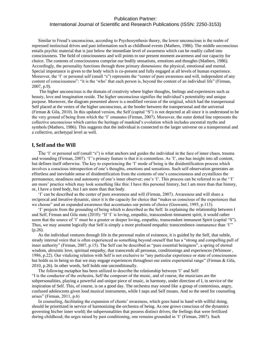Similar to Freud's unconscious, according to Psychosynthesis theory, the lower unconscious is the realm of repressed instinctual drives and past information such as childhood events (Mathers, 1986). The middle unconscious entails psychic material that is just below the immediate level of awareness which can be readily called into consciousness. The field of consciousness and will points to our present moment awareness and our capacity for choice. The contents of consciousness comprise our bodily sensations, emotions and thoughts (Mathers, 1986). Accordingly, the personality functions through three primary dimensions: the physical, emotional and mental. Special importance is given to the body which is co-present and fully engaged at all levels of human experience. Moreover, the 'I' or personal self (small "s") represents the "center of pure awareness and will, independent of any content of consciousness": "it is the 'who' that each person is, beyond the content of an individual life" (Firman, 2007, p.9).

The higher unconscious is the domain of creativity where higher thoughts, feelings and experiences such as beauty, love and imagination reside. The higher unconscious signifies the individual's potentiality and unique purpose. Moreover, the diagram presented above is a modified version of the original, which had the transpersonal Self placed at the vertex of the higher unconscious, at the border between the transpersonal and the universal (Firman & Gila, 2010). In this updated version, the Self (capital "S") is not depicted at all since it is understood to be the very ground of being from which the 'I' emanates (Firman, 2007). Moreover, the outer dotted line represents the collective unconscious which carries the heritage of mankind's evolution which includes ancestral myths and symbols (Mathers, 1986). This suggests that the individual is connected to the larger universe on a transpersonal and a collective, archetypal level as well.

#### <span id="page-22-0"></span>**I, Self and the Will**

The 'I' or personal self (small "s") is what anchors and guides the individual in the face of inner chaos, trauma and wounding (Firman, 2007). 'I''s primary feature is that it is contentless. As 'I', one has insight into all content, but defines itself otherwise. The key to experiencing the 'I' mode of being is the disidentification process which involves a conscious introspection of one's thoughts, emotions and sensations. Such self-observation generates an effortless and inevitable sense of disidentification from the contents of one's consciousness and crystallizes the permanence, steadiness and autonomy of one's inner observer; one's 'I'. This process can be referred to as the ''I' am more' practice which may look something like this: I have this personal history, but I am more than that history, or, I have a tired body, but I am more than that body.

'I' can be described as the center of pure awareness and will (Firman, 2007). Awareness and will share a reciprocal and iterative dynamic, since it is the capacity for choice that "makes us conscious of the experiences that we choose" and an expanded awareness that accentuates our points of choice (Goswami, 1995, p.113).

'I' projects from the grounding of being which is described as the Self. In explaining the relationship between I and Self, Firman and Gila state (2010): "If 'I' is loving, empathic, transcendent-immanent spirit, it would rather seem that the source of 'I' must be a greater or deeper loving, empathic, transcendent immanent Spirit (capital "S"). Thus, we may assume logically that Self is simply a more profound empathic transcendence-immanence than 'I'" (p.26).

As the individual ventures through life in the personal realm of existence, it is guided by the Self, that subtle, steady internal voice that is often experienced as something beyond oneself that has a "strong and compelling pull of inner authority" (Firman, 2007, p.15). The Self can be described as "pure essential beingness", a spring of eternal wisdom, altruistic love, spiritual empathy, that transcends all personas, conditionings and experiences (Whimore, 1986, p.22). Our vitalizing relation with Self is not exclusive to "any particular experience or state of consciousness but holds us in being so that we may engage experiences throughout our entire experiential range" (Firman & Gila, 2010, p.26). In other words, Self holds one unconditionally.

The following metaphor has been utilized to describe the relationship between 'I' and Self: "I is the conductor of the orchestra, Self the composer of the music, and of course, the musicians are the subpersonalities, playing a powerful and unique piece of music, in harmony, under direction of I, in service of the inspiration of Self. This, of course, is on a good day. The orchestra may sound like a group of contentious, angry, confused adolescents given loud musical instruments, while I naps and Self moans. And so the need for counseling arises" (Firman, 2011, p.6)

In counseling, facilitating the expansion of clients' awareness, which goes hand in hand with willful doing, should be prioritized in service of harmonizing the orchestra of being. As one grows conscious of the dynamics governing his/her inner world; the subpersonalities that possess distinct drives; the feelings that were fertilized during childhood; the urges raised by past conditioning, one remains grounded in 'I' (Firman, 2007). Such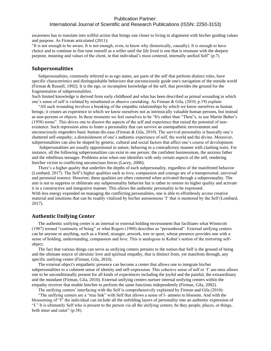# International Journal of Scientific and Research Publications (ISSN: 2250-3153)

awareness has to translate into willful action that brings one closer to living in alignment with his/her guiding values and purpose. As Firman articulated (2011):

"It is not enough to be aware. It is not enough, even, to know why (historically, causally). It is enough to have choice and to continue to fine tune oneself as a willer until the life lived is one that is resonant with the deepest purpose, meaning and values of the client, in that individual's most centered, internally unified Self" (p.7).

#### <span id="page-23-0"></span>**Subpersonalities**

Subpersonalities, commonly referred to as ego states, are parts of the self that perform distinct roles, have specific characteristics and distinguishable behaviors that unconsciously guide one's navigation of the outside world (Firman & Russell, 1992). It is the ego, or incomplete knowledge of the self, that provides the ground for the fragmentation of subpersonalities.

Such limited knowledge is derived from early childhood and what has been described as primal wounding in which one's sense of self is violated by misattuned or abusive caretaking. As Firman & Gila, (2010, p.19) explain:

"All such wounding involves a breaking of the empathic relationships by which we know ourselves as human beings; it creates an experience in which we know ourselves not as intrinsically valuable human persons, but instead as non-persons or objects. In these moments we feel ourselves to be "It's rather than "Thou"s, to use Martin Buber's (1958) terms". This drives one to disown the aspects of the self and experience that raised the potential of nonexistence. Such repression aims to foster a personality that can survive an unempathetic environment and unconsciously engenders basic human dis-ease (Firman & Gila, 2010). The survival personality is basically one's shattered self-empathy; a diminishment of one's authentic experience of self, the world and the divine. Moreover, subpersonalities can also be shaped by genetic, cultural and social factors that affect one's course of development.

Subpersonalities are usually oppositional in nature, behaving in a contradictory manner with clashing traits. For instance, all the following subpersonalities can exist in one person: the confident businessman, the anxious father and the rebellious teenager. Problems arise when one identifies with only certain aspects of the self, rendering him/her victim to conflicting unconscious forces (Lacey, 2006).

There's a higher quality that underlies the depths of each subpersonality, regardless of the manifested behavior (Lombard, 2017). The Self's higher qualities such as love, compassion and courage are of a transpersonal, universal and perennial essence. However, these qualities are often contorted when activated through a subpersonality. The aim is not to suppress or obliterate any subpersonality behavior but is rather to restore its higher quality and activate it in a constructive and integrative manner. This allows the authentic personality to be expressed. With less energy expended on managing the conflicting personalities, one is able to effortlessly access creative material and intuitions that can be readily vitalized by his/her autonomous 'I' that is mentored by the Self (Lombard, 2017).

#### <span id="page-23-1"></span>**Authentic Unifying Center**

The authentic unifying center is an internal or external holding environment that facilitates what Winnicott (1987) termed "continuity of being" or what Rogers (1980) describes as "personhood". External unifying centers can be anyone or anything, such as a friend, stranger, artwork, tree or sport, whose presence provides one with a sense of holding, understanding, compassion and love. This is analogous to Kohut's notion of the mirroring selfobject.

The fact that various things can serve as unifying centers pertains to the notion that Self is the ground of being and the ultimate source of altruistic love and spiritual empathy, that is distinct from, yet manifests through, any specific unifying center (Firman, Gila, 2010).

The external object's empathetic presence can become a center that allows one to integrate his/her subpersonalities to a coherent sense of identity and self-expression. This cohesive sense of self or 'I' am-ness allows one to be unconditionally present for all kinds of experiences including the joyful and the painful, the extraordinary and the mundane (Firman, Gila, 2010). External unifying centers nurture internal unifying centers within the empathy receiver that enable him/her to perform the same functions independently (Firman, Gila, 2002).

The unifying centers' interfacing with the Self is comprehensively explained by Firman and Gila (2010):

"The unifying centers are a "true link" with Self that allows a sense of I- amness to blossom. And with the blossoming of "I" the individual can include all the unfolding layers of personality into an authentic expression of "I." It is ultimately Self who is present to the person via all the unifying centers, be they people, places, or things, both inner and outer" (p.38).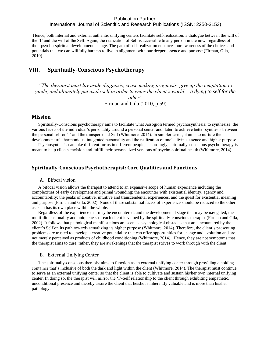International Journal of Scientific and Research Publications (ISSN: 2250-3153)

Hence, both internal and external authentic unifying centers facilitate self-realization: a dialogue between the will of the 'I' and the will of the Self. Again, the realization of Self is accessible to any person in the now, regardless of their psycho-spiritual developmental stage. The path of self-realization enhances our awareness of the choices and potentials that we can willfully harness to live in alignment with our deeper essence and purpose (Firman, Gila, 2010).

# <span id="page-24-0"></span>**VIII. Spiritually-Conscious Psychotherapy**

*"The therapist must lay aside diagnosis, cease making prognosis, give up the temptation to guide, and ultimately put aside self in order to enter the client's world— a dying to self for the other"* Firman and Gila (2010, p.59)

#### <span id="page-24-1"></span>**Mission**

Spiritually-Conscious psychotherapy aims to facilitate what Assogioli termed psychosynthesis: to synthesize, the various facets of the individual's personality around a personal center and, later, to achieve better synthesis between the personal self or 'I' and the transpersonal Self (Whitmore, 2014). In simpler terms, it aims to nurture the development of a harmonious, integrated personality and the realization of one's divine essence and higher purpose.

Psychosynthesis can take different forms in different people, accordingly, spiritually-conscious psychotherapy is meant to help clients envision and fulfill their personalized versions of psycho-spiritual health (Whitmore, 2014).

# <span id="page-24-3"></span><span id="page-24-2"></span>**Spiritually-Conscious Psychotherapist: Core Qualities and Functions**

#### A. Bifocal vision

A bifocal vision allows the therapist to attend to an expansive scope of human experience including the complexities of early development and primal wounding; the encounter with existential identity, agency and accountability; the peaks of creative, intuitive and transcendental experiences, and the quest for existential meaning and purpose (Firman and Gila, 2002). None of these substantial facets of experience should be reduced to the other as each has its own place within the whole.

Regardless of the experience that may be encountered, and the developmental stage that may be navigated, the multi-dimensionality and uniqueness of each client is valued by the spiritually-conscious therapist (Firman and Gila, 2002). It follows that pathological manifestations are seen as psychological obstacles that are encountered by the client's Self on its path towards actualizing its higher purpose (Whitmore, 2014). Therefore, the client's presenting problems are trusted to envelop a creative potentiality that can offer opportunities for change and evolution and are not merely perceived as products of childhood conditioning (Whitmore, 2014). Hence, they are not symptoms that the therapist aims to cure, rather, they are awakenings that the therapist strives to work through with the client.

#### <span id="page-24-4"></span>B. External Unifying Center

The spiritually-conscious therapist aims to function as an external unifying center through providing a holding container that's inclusive of both the dark and light within the client (Whitmore, 2014). The therapist must continue to serve as an external unifying center so that the client is able to cultivate and sustain his/her own internal unifying center. In doing so, the therapist will mirror the 'I'-Self relationship to the client through exhibiting empathetic, unconditional presence and thereby assure the client that he/she is inherently valuable and is more than his/her pathology.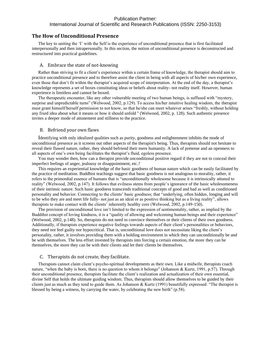# International Journal of Scientific and Research Publications (ISSN: 2250-3153)

#### <span id="page-25-0"></span>**The How of Unconditional Presence**

The key to uniting the 'I' with the Self is the experience of unconditional presence that is first facilitated interpersonally and then intrapersonally. In this section, the notion of unconditional presence is deconstructed and restructured into practical guidelines.

#### <span id="page-25-1"></span>A. Embrace the state of not-knowing

Rather than striving to fit a client's experience within a certain frame of knowledge, the therapist should aim to practice unconditional presence and to therefore assist the client in being with all aspects of his/her own experience, even those that don't fit within the therapist's acquired scope of interpretation. At the end of the day, a therapist's knowledge represents a set of boxes constituting ideas or beliefs about reality- not reality itself. However, human experience is limitless and cannot be boxed.

The therapeutic encounter, like any other vulnerable meeting of two human beings, is suffused with "mystery, surprise and unpredictable turns" (Welwood, 2002, p.129). To access his/her intuitive healing wisdom, the therapist must grant himself/herself permission to not know, so that he/she can meet whatever arises "freshly, without holding any fixed idea about what it means or how it should unfold '' (Welwood, 2002, p. 128). Such authentic presence invites a deeper mode of attunement and stillness to the practice.

#### <span id="page-25-2"></span>B. Befriend your own flaws

Identifying with only idealized qualities such as purity, goodness and enlightenment inhibits the mode of unconditional presence as it screens out other aspects of the therapist's being. Thus, therapists should not hesitate to reveal their flawed nature, rather, they should befriend their mere humanity. A lack of pretense and an openness to all aspects of one's own being facilitates the therapist's fluid, egoless presence.

You may wonder then, how can a therapist provide unconditional positive regard if they are not to conceal their imperfect feelings of anger, jealousy or disappointment, etc.?

This requires an experiential knowledge of the basic goodness of human nature which can be easily facilitated by the practice of meditation. Buddhist teachings suggest that basic goodness is not analogous to morality, rather, it refers to the primordial essence of humans that is "unconditionally wholesome because it is intrinsically attuned to reality" (Welwood, 2002, p.147). It follows that evilness stems from people's ignorance of the basic wholesomeness of their intrinsic nature. Such basic goodness transcends traditional concepts of good and bad as well as conditioned personality and behavior. Connecting to the clients' basic goodness; that "underlying, often hidden, longing and will to be who they are and meet life fully- not just as an ideal or as positive thinking but as a living reality", allows therapists to make contact with the clients' inherently healthy core (Welwood, 2002, p.149-150).

The provision of unconditional love isn't limited to the expression of sentimentality, rather, as implied by the Buddihst concept of loving kindness, it is a "quality of allowing and welcoming human beings and their experience" (Welwood, 2002, p.148). So, therapists do not need to convince themselves or their clients of their own goodness. Additionally, if therapists experience negative feelings towards aspects of their client's personalities or behaviors, they need not feel guilty nor hypocritical. That is, unconditional love does not necessitate liking the client's personality, rather, it involves providing them with a holding environment in which they can unconditionally be and be with themselves. The less effort invested by therapists into forcing a certain emotion, the more they can be themselves, the more they can be with their clients and let their clients be themselves.

#### <span id="page-25-3"></span>C. Therapists do not create, they facilitate.

Therapists cannot claim client's psycho-spiritual developments as their own. Like a midwife, therapists coach nature, "when the baby is born, there is no question to whom it belongs" (Johanson & Kurtz, 1991, p.57). Through their unconditional presence, therapists facilitate the client's realization and actualization of their own essential, divine Self that holds the ultimate guiding wisdom. Thus, therapists should allow themselves to be guided by their clients just as much as they tend to guide them. As Johanson & Kurtz (1991) beautifully expressed: "The therapist is blessed by being a witness, by carrying the water, by celebrating the new birth" (p.58).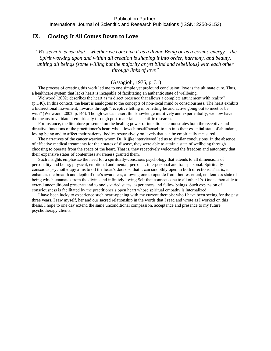# <span id="page-26-0"></span>**IX. Closing: It All Comes Down to Love**

*"We seem to sense that – whether we conceive it as a divine Being or as a cosmic energy – the Spirit working upon and within all creation is shaping it into order, harmony, and beauty, uniting all beings (some willing but the majority as yet blind and rebellious) with each other through links of [love"](https://kennethsorensen.dk/en/glossary/love/)*

#### (Assagioli, 1975, p. 31)

The process of creating this work led me to one simple yet profound conclusion: love is the ultimate cure. Thus, a healthcare system that lacks heart is incapable of facilitating an authentic state of wellbeing.

Welwood (2002) describes the heart as "a direct presence that allows a complete attunement with reality" (p.146). In this context, the heart is analogous to the concepts of non-local mind or consciousness. The heart exhibits a bidirectional movement; inwards through "receptive letting in or letting be and active going out to meet or be with" (Welwood, 2002, p.146). Though we can assert this knowledge intuitively and experientially, we now have the means to validate it empirically through post-materialist scientific research.

For instance, the literature presented on the healing power of intentions demonstrates both the receptive and directive functions of the practitioner's heart who allows himself/herself to tap into their essential state of abundant, loving being and to affect their patients' bodies restoratively on levels that can be empirically measured.

The narratives of the cancer warriors whom Dr. Rijjke interviewed led us to similar conclusions. In the absence of effective medical treatments for their states of disease, they were able to attain a state of wellbeing through choosing to operate from the space of the heart. That is, they receptively welcomed the freedom and autonomy that their expansive states of contentless awareness granted them.

Such insights emphasize the need for a spiritually-conscious psychology that attends to all dimensions of personality and being; physical, emotional and mental; personal, interpersonal and transpersonal. Spirituallyconscious psychotherapy aims to oil the heart's doors so that it can smoothly open in both directions. That is, it enhances the breadth and depth of one's awareness, allowing one to operate from their essential, contentless state of being which emanates from the divine and infinitely loving Self that connects one to all other I's. One is then able to extend unconditional presence and to one's varied states, experiences and fellow beings. Such expansion of consciousness is facilitated by the practitioner's open heart whose spiritual empathy is internalized.

I have been lucky to experience such heart-opening with my current therapist who I have been seeing for the past three years. I saw myself, her and our sacred relationship in the words that I read and wrote as I worked on this thesis. I hope to one day extend the same unconditional compassion, acceptance and presence to my future psychotherapy clients.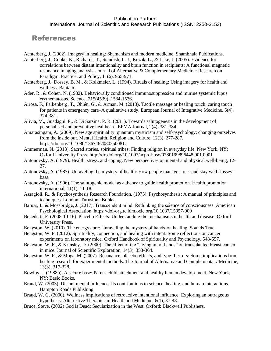# References

Achterberg, J. (2002). Imagery in healing: Shamanism and modern medicine. Shambhala Publications.

- Achterberg, J., Cooke, K., Richards, T., Standish, L. J., Kozak, L., & Lake, J. (2005). Evidence for correlations between distant intentionality and brain function in recipients: A functional magnetic resonance imaging analysis. Journal of Alternative & Complementary Medicine: Research on Paradigm, Practice, and Policy, 11(6), 965-971.
- Achterberg, J., Dossey, B. M., & Kolkmeier, L. (1994). Rituals of healing: Using imagery for health and wellness. Bantam.
- Ader, R., & Cohen, N. (1982). Behaviorally conditioned immunosuppression and murine systemic lupus erythematosus. Science, 215(4539), 1534-1536.
- Airosa, F., Falkenberg, T., Öhlén, G., & Arman, M. (2013). Tactile massage or healing touch: caring touch for patients in emergency care–A qualitative study. European Journal of Integrative Medicine, 5(4), 374-381.
- Alivia, M., Guadagni, P., & Di Sarsina, P. R. (2011). Towards salutogenesis in the development of personalised and preventive healthcare. EPMA Journal, 2(4), 381-384.
- Amarasingam, A. (2009). New age spirituality, quantum mysticism and self-psychology: changing ourselves from the inside out. Mental Health, Religion and Culture, 12(3), 277-287. <https://doi.org/10.1080/13674670802500817>
- Ammerman, N. (2013). Sacred stories, spiritual tribes: Finding religion in everyday life. New York, NY: Oxford University Press.<http://dx.doi.org/10.1093/acprof:oso/9780199896448.001.0001>
- Antonovsky, A. (1979). Health, stress, and coping. New perspectives on mental and physical well-being, 12- 37.
- Antonovsky, A. (1987). Unraveling the mystery of health: How people manage stress and stay well. Josseybass.
- Antonovsky, A. (1996). The salutogenic model as a theory to guide health promotion. Health promotion international, 11(1), 11-18.
- Assagioli, R., & Psychosynthesis Research Foundation. (1975). Psychosynthesis: A manual of principles and techniques. London: Turnstone Books.
- Barušs, I., & Mossbridge, J. (2017). Transcendent mind: Rethinking the science of consciousness. American Psychological Association. [https://doi-org.tc.idm.oclc.org/10.1037/15957-000](https://psycnet-apa-org.tc.idm.oclc.org/doi/10.1037/15957-000)
- Benedetti, F. (2008-10-16). Placebo Effects: Understanding the mechanisms in health and disease: Oxford University Press.
- Bengston, W. (2010). The energy cure: Unraveling the mystery of hands-on healing. Sounds True.
- Bengston, W. F. (2012). Spirituality, connection, and healing with intent: Some reflections on cancer experiments on laboratory mice. Oxford Handbook of Spirituality and Psychology, 548-557.
- Bengston, W. F., & Krinsley, D. (2000). The effect of the "laying on of hands" on transplanted breast cancer in mice. Journal of Scientific Exploration, 14(3), 353-364.
- Bengston, W. F., & Moga, M. (2007). Resonance, placebo effects, and type II errors: Some implications from healing research for experimental methods. The Journal of Alternative and Complementary Medicine, 13(3), 317-328.
- Bowlby, J. (1988b). A secure base: Parent-child attachment and healthy human develop-ment. New York, NY: Basic Books.
- Braud, W. (2003). Distant mental influence: Its contributions to science, healing, and human interactions. Hampton Roads Publishing.
- Braud, W. G. (2000). Wellness implications of retroactive intentional influence: Exploring an outrageous hypothesis. Alternative Therapies in Health and Medicine, 6(1), 37-48.
- Bruce, Steve. (2002) God is Dead: Secularization in the West. Oxford: Blackwell Publishers.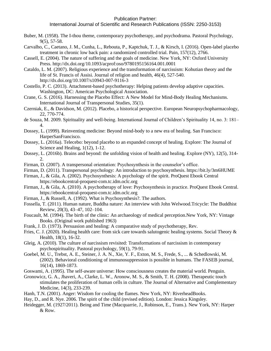- Buber, M. (1958). The I-thou theme, contemporary psychotherapy, and psychodrama. Pastoral Psychology, 9(5), 57-58.
- Carvalho, C., Caetano, J. M., Cunha, L., Rebouta, P., Kaptchuk, T. J., & Kirsch, I. (2016). Open-label placebo treatment in chronic low back pain: a randomized controlled trial. Pain, 157(12), 2766.
- Cassell, E. (2004). The nature of suffering and the goals of medicine. New York, NY: Oxford University Press[. http://dx.doi.org/10.1093/acprof:oso/9780195156164.001.0001](http://dx.doi.org/10.1093/acprof:oso/9780195156164.001.0001)
- Cataldo, L. M. (2007). Religious experience and the transformation of narcissism: Kohutian theory and the life of St. Francis of Assisi. Journal of religion and health, 46(4), 527-540. <http://dx.doi.org/10.1007/s10943-007-9116-3>
- Costello, P. C. (2013). Attachment-based psychotherapy: Helping patients develop adaptive capacities. Washington, DC: American Psychological Association.
- Crane, G. S. (2016). Harnessing the Placebo Effect: A New Model for Mind-Body Healing Mechanisms. International Journal of Transpersonal Studies, 35(1).
- Czerniak, E., & Davidson, M. (2012). Placebo, a historical perspective. European Neuropsychopharmacology, 22, 770-774.
- de Souza, M. 2009. Spirituality and well-being. International Journal of Children's Spirituality 14, no. 3: 181– 4.
- Dossey, L. (1999). Reinventing medicine: Beyond mind-body to a new era of healing. San Francisco: HarperSanFrancisco.
- Dossey, L. (2016a). Telecebo: beyond placebo to an expanded concept of healing. Explore: The Journal of Science and Healing, 1(12), 1-12.
- Dossey, L. (2016b). Brains and beyond: the unfolding vision of health and healing. Explore (NY), 12(5), 314- 2.
- Firman, D. (2007). A transpersonal orientation: Psychosynthesis in the counselor's office.
- Firman, D. (2011). Transpersonal psychology: An introduction to psychosynthesis. https://bit.ly/3m6HUME
- Firman, J., & Gila, A. (2002). Psychosynthesis: A psychology of the spirit. ProQuest Ebook Central [https://ebookcentral-proquest-com.tc.idm.oclc.org](https://ebookcentral-proquest-com.tc.idm.oclc.org/)
- Firman, J., & Gila, A. (2010). A psychotherapy of love: Psychosynthesis in practice. ProQuest Ebook Central. [https://ebookcentral-proquest-com.tc.idm.oclc.org](https://ebookcentral-proquest-com.tc.idm.oclc.org/)
- Firman, J., & Russell, A. (1992). What is Psychosynthesis?. The authors.
- Fossella, T. (2011). Human nature, Buddha nature: An interview with John Welwood.Tricycle: The Buddhist Review, 20(3), 43–47, 102–104.
- Foucault, M. (1994). The birth of the clinic: An archaeology of medical perception.New York, NY: Vintage Books. (Original work published 1963)
- Frank, J. D. (1973). Persuasion and healing: A comparative study of psychotherapy, Rev.
- Fries, C. J. (2020). Healing health care: from sick care towards salutogenic healing systems. Social Theory & Health, 18(1), 16-32.
- Gleig, A. (2010). The culture of narcissism revisited: Transformations of narcissism in contemporary psychospirituality. Pastoral psychology, 59(1), 79-91.
- Goebel, M. U., Trebst, A. E., Steiner, J. A. N., Xie, Y. F., Exton, M. S., Frede, S., ... & Schedlowski, M. (2002). Behavioral conditioning of immunosuppression is possible in humans. The FASEB journal, 16(14), 1869-1873.
- Goswami, A. (1995). The self-aware universe: How consciousness creates the material world. Penguin.
- Gronowicz, G. A., Jhaveri, A., Clarke, L. W., Aronow, M. S., & Smith, T. H. (2008). Therapeutic touch stimulates the proliferation of human cells in culture. The Journal of Alternative and Complementary Medicine, 14(3), 233-239.
- Hanh, T.N. (2001). Anger: Wisdom for cooling the flames. New York, NY: RiverheadBooks.
- Hay, D., and R. Nye. 2006. The spirit of the child (revised edition). London: Jessica Kingsley.
- Heidegger, M. (1927/2011). Being and Time (Macquarrie, J., Robinson, E., Trans.). New York, NY: Harper & Row.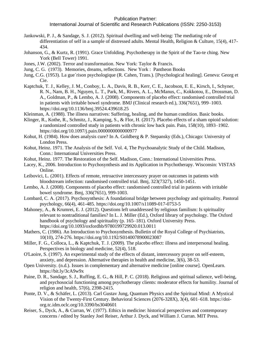- Jankowski, P. J., & Sandage, S. J. (2012). Spiritual dwelling and well-being: The mediating role of differentiation of self in a sample of distressed adults. Mental Health, Religion & Culture, 15(4), 417- 434.
- Johanson, G., & Kurtz, R. (1991). Grace Unfolding. Psychotherapy in the Spirit of the Tao-te ching. New York (Bell Tower) 1991.
- Jones, J.W. (2002). Terror and transformation. New York: Taylor & Francis.
- Jung, C. G. (1973). Memories, dreams, reflections. New York : Pantheon Books
- Jung, C.G. (1953). La gue´rison psychologique (R. Cahen, Trans.). [Psychological healing]. Geneva: Georg et Cie.
- Kaptchuk, T. J., Kelley, J. M., Conboy, L. A., Davis, R. B., Kerr, C. E., Jacobson, E. E., Kirsch, I., Schyner, R. N., Nam, B. H., Nguyen, L. T., Park, M., Rivers, A. L., McManus, C., Kokkotou, E., Drossman, D. A., Goldman, P., & Lembo, A. J. (2008). Components of placebo effect: randomised controlled trial in patients with irritable bowel syndrome. BMJ (Clinical research ed.), 336(7651), 999–1003. https://doi.org/10.1136/bmj.39524.439618.25
- Kleinman, A. (1988). The illness narratives: Suffering, healing, and the human condition. Basic books.
- Klinger, R., Kothe, R., Schmitz, J., Kamping, S., & Flor, H. (2017). Placebo effects of a sham opioid solution: a randomized controlled study in patients with chronic low back pain. Pain, 158(10), 1893–1902. https://doi.org/10.1097/j.pain.0000000000000977
- Kohut, H. (1984). How does analysis cure? In A. Goldberg & P. Stepansky (Eds.), Chicago: University of London Press.
- Kohut, Heinz. 1971. The Analysis of the Self. Vol. 4, The Psychoanalytic Study of the Child. Madison, Conn.: International Universities Press.
- Kohut, Heinz. 1977. The Restoration of the Self. Madison, Conn.: International Universities Press.
- Lacey, K., 2006. Introduction to Psychosynthesis and its Application in Psychotherapy. Wisconsin: VISTAS Online.
- Leibovici, L. (2001). Effects of remote, retroactive intercessory prayer on outcomes in patients with bloodstream infection: randomised controlled trial. Bmj, 323(7327), 1450-1451.
- Lembo, A. J. (2008). Components of placebo effect: randomised controlled trial in patients with irritable bowel syndrome. Bmj, 336(7651), 999-1003.
- Lombard, C. A. (2017). Psychosynthesis: A foundational bridge between psychology and spirituality. Pastoral psychology, 66(4), 461-485.<https://doi.org/10.1007/s11089-017-0753-5>
- Mahoney, A., & Krumrei, E. J. (2012). Questions left unaddressed by religious familism: Is spirituality relevant to nontraditional families? In L. J. Miller (Ed.), Oxford library of psychology. The Oxford handbook of psychology and spirituality (p. 165–181). Oxford University Press. [https://doi.org/10.1093/oxfordhb/9780199729920.013.0011](https://psycnet.apa.org/doi/10.1093/oxfordhb/9780199729920.013.0011)
- Mathers, C. (1986). An Introduction to Psychosynthesis. Bulletin of the Royal College of Psychiatrists, 10(10), 274-276.<https://doi.org/10.1192/S0140078900023087>
- Miller, F. G., Colloca, L., & Kaptchuk, T. J. (2009). The placebo effect: illness and interpersonal healing. Perspectives in biology and medicine, 52(4), 518.
- O'Laoire, S. (1997). An experimental study of the effects of distant, intercessory prayer on self-esteem, anxiety, and depression. Alternative therapies in health and medicine, 3(6), 38-53.
- Open University. (n.d.). Issues in complementary and alternative medicine [online course]. OpenLearn. <https://bit.ly/3cA9w9x>
- Paine, D. R., Sandage, S. J., Ruffing, E. G., & Hill, P. C. (2018). Religious and spiritual salience, well-being, and psychosocial functioning among psychotherapy clients: moderator effects for humility. Journal of religion and health, 57(6), 2398-2415.
- Ponte, D. V., & Schäfer, L. (2013). Carl Gustav Jung, Quantum Physics and the Spiritual Mind: A Mystical Vision of the Twenty-First Century. Behavioral Sciences (2076-328X), 3(4), 601–618. [https://doi](https://doi-org.tc.idm.oclc.org/10.3390/bs3040601)[org.tc.idm.oclc.org/10.3390/bs3040601](https://doi-org.tc.idm.oclc.org/10.3390/bs3040601)
- Reiser, S., Dyck, A., & Curran, W. (1977). Ethics in medicine: historical perspectives and contemporary concerns / edited by Stanley Joel Reiser, Arthur J. Dyck, and William J. Curran. MIT Press.